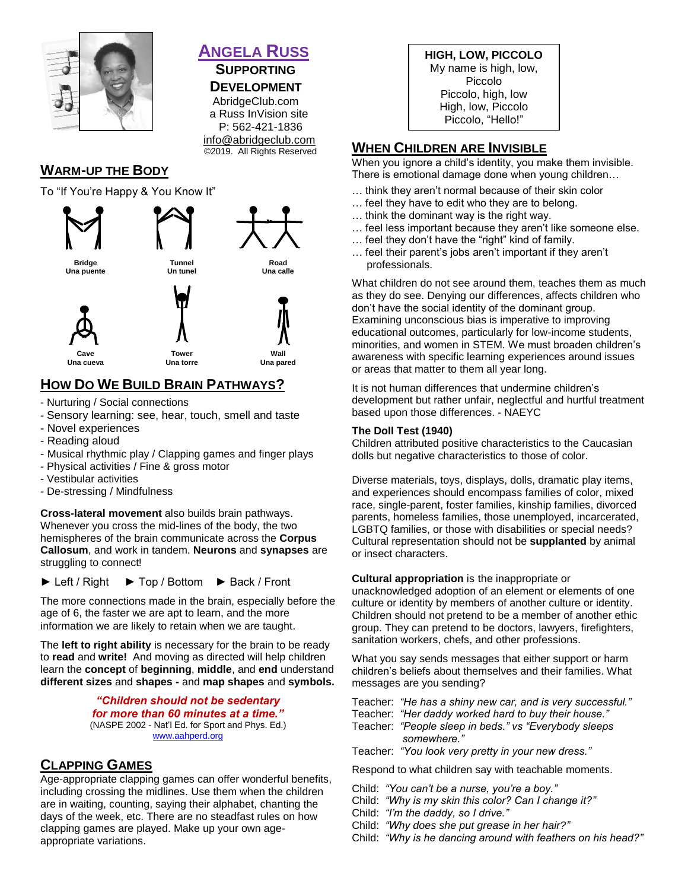

#### **ANGELA RUSS SUPPORTING**

## **DEVELOPMENT**

 AbridgeClub.com a Russ InVision site P: 562-421-1836 [info@abridgeclub.com](mailto:info@abridgeclub.com) ©2019. All Rights Reserved

# **WARM-UP THE BODY**

To "If You're Happy & You Know It"



# **HOW DO WE BUILD BRAIN PATHWAYS?**

- Nurturing / Social connections
- Sensory learning: see, hear, touch, smell and taste
- Novel experiences
- Reading aloud
- Musical rhythmic play / Clapping games and finger plays
- Physical activities / Fine & gross motor
- Vestibular activities
- De-stressing / Mindfulness

**Cross-lateral movement** also builds brain pathways. Whenever you cross the mid-lines of the body, the two hemispheres of the brain communicate across the **Corpus Callosum**, and work in tandem. **Neurons** and **synapses** are struggling to connect!

► Left / Right ► Top / Bottom ► Back / Front

The more connections made in the brain, especially before the age of 6, the faster we are apt to learn, and the more information we are likely to retain when we are taught.

The **left to right ability** is necessary for the brain to be ready to **read** and **write!** And moving as directed will help children learn the **concept** of **beginning**, **middle**, and **end** understand **different sizes** and **shapes -** and **map shapes** and **symbols.**

> *"Children should not be sedentary for more than 60 minutes at a time."* (NASPE 2002 - Nat'l Ed. for Sport and Phys. Ed.) [www.aahperd.org](http://www.aahperd.org/)

### **CLAPPING GAMES**

Age-appropriate clapping games can offer wonderful benefits, including crossing the midlines. Use them when the children are in waiting, counting, saying their alphabet, chanting the days of the week, etc. There are no steadfast rules on how clapping games are played. Make up your own ageappropriate variations.

**HIGH, LOW, PICCOLO** My name is high, low, Piccolo Piccolo, high, low High, low, Piccolo Piccolo, "Hello!"

### **WHEN CHILDREN ARE INVISIBLE**

When you ignore a child's identity, you make them invisible. There is emotional damage done when young children…

- … think they aren't normal because of their skin color
- … feel they have to edit who they are to belong.
- … think the dominant way is the right way.
- … feel less important because they aren't like someone else.
- … feel they don't have the "right" kind of family.
- … feel their parent's jobs aren't important if they aren't professionals.

What children do not see around them, teaches them as much as they do see. Denying our differences, affects children who don't have the social identity of the dominant group. Examining unconscious bias is imperative to improving educational outcomes, particularly for low-income students, minorities, and women in STEM. We must broaden children's awareness with specific learning experiences around issues or areas that matter to them all year long.

It is not human differences that undermine children's development but rather unfair, neglectful and hurtful treatment based upon those differences. - NAEYC

#### **The Doll Test (1940)**

Children attributed positive characteristics to the Caucasian dolls but negative characteristics to those of color.

Diverse materials, toys, displays, dolls, dramatic play items, and experiences should encompass families of color, mixed race, single-parent, foster families, kinship families, divorced parents, homeless families, those unemployed, incarcerated, LGBTQ families, or those with disabilities or special needs? Cultural representation should not be **supplanted** by animal or insect characters.

#### **Cultural appropriation** is the inappropriate or

unacknowledged adoption of an element or elements of one culture or identity by members of another culture or identity. Children should not pretend to be a member of another ethic group. They can pretend to be doctors, lawyers, firefighters, sanitation workers, chefs, and other professions.

What you say sends messages that either support or harm children's beliefs about themselves and their families. What messages are you sending?

- Teacher: *"He has a shiny new car, and is very successful."*
- Teacher: *"Her daddy worked hard to buy their house."*
- Teacher: *"People sleep in beds." vs "Everybody sleeps somewhere."*

Teacher: *"You look very pretty in your new dress."*

Respond to what children say with teachable moments.

- Child: *"You can't be a nurse, you're a boy."*
- Child: *"Why is my skin this color? Can I change it?"*
- Child: *"I'm the daddy, so I drive."*
- Child: *"Why does she put grease in her hair?"*
- Child: *"Why is he dancing around with feathers on his head?"*